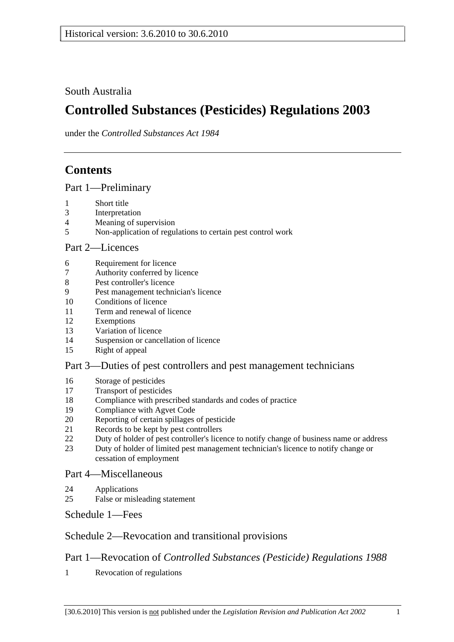South Australia

# **Controlled Substances (Pesticides) Regulations 2003**

under the *Controlled Substances Act 1984*

## **Contents**

Part 1—Preliminary

- 1 Short title
- 3 Interpretation
- 4 Meaning of supervision
- 5 Non-application of regulations to certain pest control work

#### Part 2—Licences

- 6 Requirement for licence
- 7 Authority conferred by licence
- 8 Pest controller's licence
- 9 Pest management technician's licence
- 10 Conditions of licence
- 11 Term and renewal of licence
- 12 Exemptions
- 13 Variation of licence
- 14 Suspension or cancellation of licence
- 15 Right of appeal

#### Part 3—Duties of pest controllers and pest management technicians

- 16 Storage of pesticides
- 17 Transport of pesticides
- 18 Compliance with prescribed standards and codes of practice
- 19 Compliance with Agvet Code
- 20 Reporting of certain spillages of pesticide
- 21 Records to be kept by pest controllers
- 22 Duty of holder of pest controller's licence to notify change of business name or address
- 23 Duty of holder of limited pest management technician's licence to notify change or cessation of employment

#### Part 4—Miscellaneous

- 24 Applications
- 25 False or misleading statement

Schedule 1—Fees

## Schedule 2—Revocation and transitional provisions

## Part 1—Revocation of *Controlled Substances (Pesticide) Regulations 1988*

1 Revocation of regulations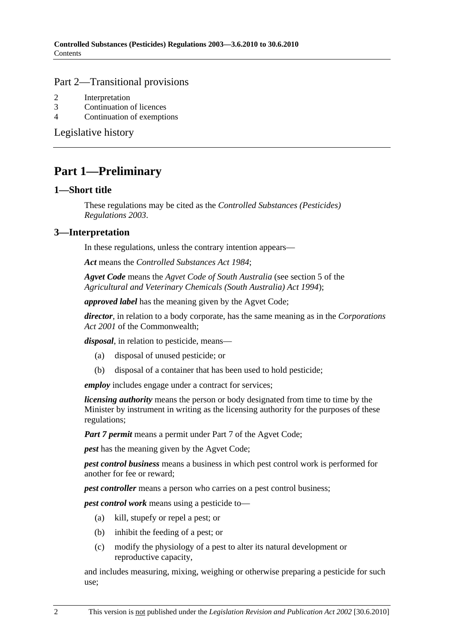#### Part 2—Transitional provisions

- 2 Interpretation
- 3 Continuation of licences
- 4 Continuation of exemptions

Legislative history

## **Part 1—Preliminary**

#### **1—Short title**

These regulations may be cited as the *Controlled Substances (Pesticides) Regulations 2003*.

### **3—Interpretation**

In these regulations, unless the contrary intention appears—

*Act* means the *Controlled Substances Act 1984*;

*Agvet Code* means the *Agvet Code of South Australia* (see section 5 of the *Agricultural and Veterinary Chemicals (South Australia) Act 1994*);

*approved label* has the meaning given by the Agvet Code;

*director*, in relation to a body corporate, has the same meaning as in the *Corporations Act 2001* of the Commonwealth;

*disposal*, in relation to pesticide, means—

- (a) disposal of unused pesticide; or
- (b) disposal of a container that has been used to hold pesticide;

*employ* includes engage under a contract for services;

*licensing authority* means the person or body designated from time to time by the Minister by instrument in writing as the licensing authority for the purposes of these regulations;

*Part 7 permit* means a permit under Part 7 of the Agvet Code;

*pest* has the meaning given by the Agvet Code;

*pest control business* means a business in which pest control work is performed for another for fee or reward;

*pest controller* means a person who carries on a pest control business;

*pest control work* means using a pesticide to—

- (a) kill, stupefy or repel a pest; or
- (b) inhibit the feeding of a pest; or
- (c) modify the physiology of a pest to alter its natural development or reproductive capacity,

and includes measuring, mixing, weighing or otherwise preparing a pesticide for such use;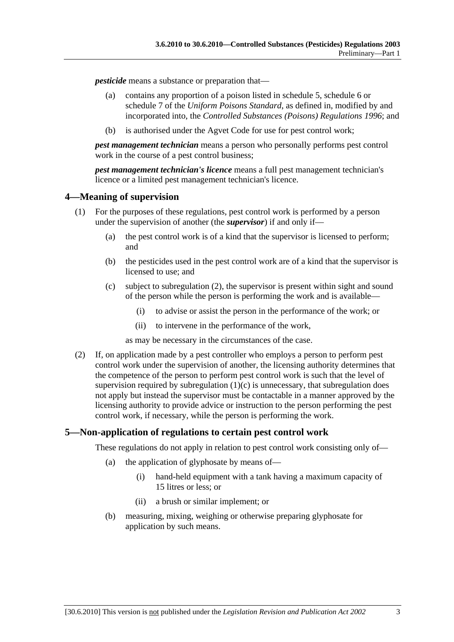*pesticide* means a substance or preparation that—

- (a) contains any proportion of a poison listed in schedule 5, schedule 6 or schedule 7 of the *Uniform Poisons Standard*, as defined in, modified by and incorporated into, the *Controlled Substances (Poisons) Regulations 1996*; and
- (b) is authorised under the Agvet Code for use for pest control work;

*pest management technician* means a person who personally performs pest control work in the course of a pest control business;

*pest management technician's licence* means a full pest management technician's licence or a limited pest management technician's licence.

#### **4—Meaning of supervision**

- (1) For the purposes of these regulations, pest control work is performed by a person under the supervision of another (the *supervisor*) if and only if—
	- (a) the pest control work is of a kind that the supervisor is licensed to perform; and
	- (b) the pesticides used in the pest control work are of a kind that the supervisor is licensed to use; and
	- (c) subject to subregulation (2), the supervisor is present within sight and sound of the person while the person is performing the work and is available—
		- (i) to advise or assist the person in the performance of the work; or
		- (ii) to intervene in the performance of the work,

as may be necessary in the circumstances of the case.

 (2) If, on application made by a pest controller who employs a person to perform pest control work under the supervision of another, the licensing authority determines that the competence of the person to perform pest control work is such that the level of supervision required by subregulation  $(1)(c)$  is unnecessary, that subregulation does not apply but instead the supervisor must be contactable in a manner approved by the licensing authority to provide advice or instruction to the person performing the pest control work, if necessary, while the person is performing the work.

#### **5—Non-application of regulations to certain pest control work**

These regulations do not apply in relation to pest control work consisting only of—

- (a) the application of glyphosate by means of—
	- (i) hand-held equipment with a tank having a maximum capacity of 15 litres or less; or
	- (ii) a brush or similar implement; or
- (b) measuring, mixing, weighing or otherwise preparing glyphosate for application by such means.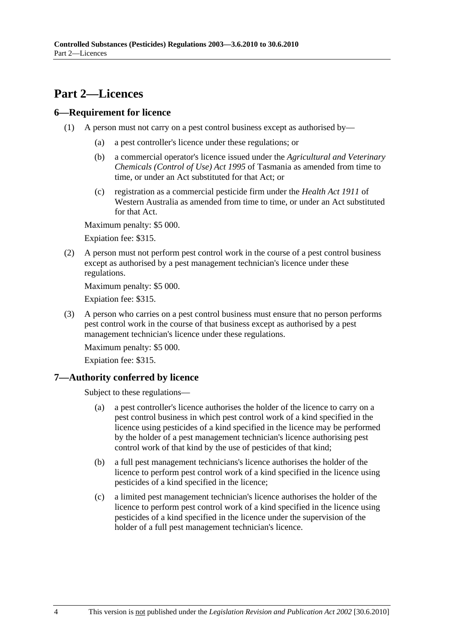## **Part 2—Licences**

### **6—Requirement for licence**

- (1) A person must not carry on a pest control business except as authorised by—
	- (a) a pest controller's licence under these regulations; or
	- (b) a commercial operator's licence issued under the *Agricultural and Veterinary Chemicals (Control of Use) Act 1995* of Tasmania as amended from time to time, or under an Act substituted for that Act; or
	- (c) registration as a commercial pesticide firm under the *Health Act 1911* of Western Australia as amended from time to time, or under an Act substituted for that Act.

Maximum penalty: \$5 000.

Expiation fee: \$315.

 (2) A person must not perform pest control work in the course of a pest control business except as authorised by a pest management technician's licence under these regulations.

Maximum penalty: \$5 000.

Expiation fee: \$315.

 (3) A person who carries on a pest control business must ensure that no person performs pest control work in the course of that business except as authorised by a pest management technician's licence under these regulations.

Maximum penalty: \$5 000.

Expiation fee: \$315.

## **7—Authority conferred by licence**

Subject to these regulations—

- (a) a pest controller's licence authorises the holder of the licence to carry on a pest control business in which pest control work of a kind specified in the licence using pesticides of a kind specified in the licence may be performed by the holder of a pest management technician's licence authorising pest control work of that kind by the use of pesticides of that kind;
- (b) a full pest management technicians's licence authorises the holder of the licence to perform pest control work of a kind specified in the licence using pesticides of a kind specified in the licence;
- (c) a limited pest management technician's licence authorises the holder of the licence to perform pest control work of a kind specified in the licence using pesticides of a kind specified in the licence under the supervision of the holder of a full pest management technician's licence.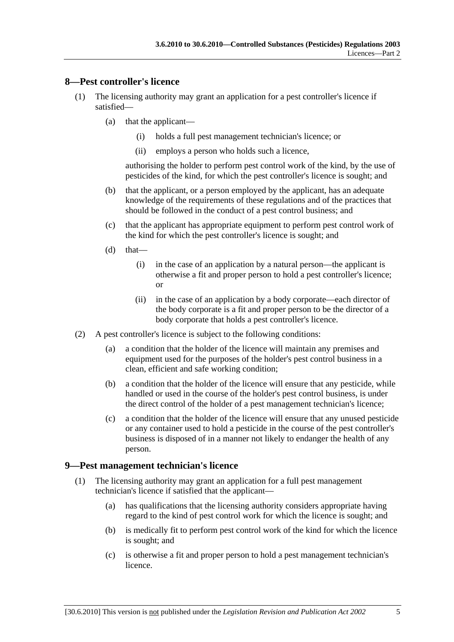#### **8—Pest controller's licence**

- (1) The licensing authority may grant an application for a pest controller's licence if satisfied—
	- (a) that the applicant—
		- (i) holds a full pest management technician's licence; or
		- (ii) employs a person who holds such a licence,

authorising the holder to perform pest control work of the kind, by the use of pesticides of the kind, for which the pest controller's licence is sought; and

- (b) that the applicant, or a person employed by the applicant, has an adequate knowledge of the requirements of these regulations and of the practices that should be followed in the conduct of a pest control business; and
- (c) that the applicant has appropriate equipment to perform pest control work of the kind for which the pest controller's licence is sought; and
- $(d)$  that—
	- (i) in the case of an application by a natural person—the applicant is otherwise a fit and proper person to hold a pest controller's licence; or
	- (ii) in the case of an application by a body corporate—each director of the body corporate is a fit and proper person to be the director of a body corporate that holds a pest controller's licence.
- (2) A pest controller's licence is subject to the following conditions:
	- (a) a condition that the holder of the licence will maintain any premises and equipment used for the purposes of the holder's pest control business in a clean, efficient and safe working condition;
	- (b) a condition that the holder of the licence will ensure that any pesticide, while handled or used in the course of the holder's pest control business, is under the direct control of the holder of a pest management technician's licence;
	- (c) a condition that the holder of the licence will ensure that any unused pesticide or any container used to hold a pesticide in the course of the pest controller's business is disposed of in a manner not likely to endanger the health of any person.

#### **9—Pest management technician's licence**

- (1) The licensing authority may grant an application for a full pest management technician's licence if satisfied that the applicant—
	- (a) has qualifications that the licensing authority considers appropriate having regard to the kind of pest control work for which the licence is sought; and
	- (b) is medically fit to perform pest control work of the kind for which the licence is sought; and
	- (c) is otherwise a fit and proper person to hold a pest management technician's licence.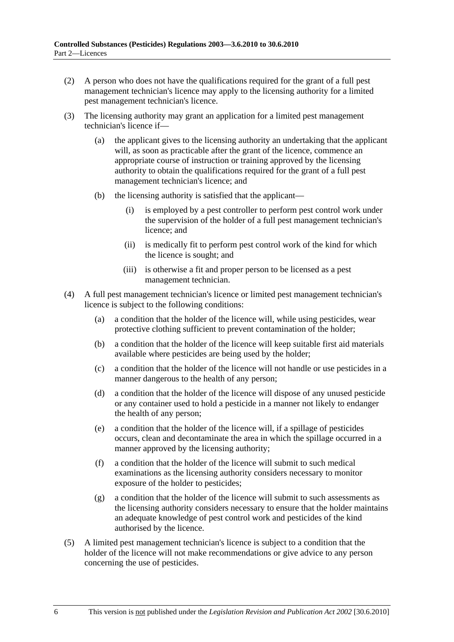- (2) A person who does not have the qualifications required for the grant of a full pest management technician's licence may apply to the licensing authority for a limited pest management technician's licence.
- (3) The licensing authority may grant an application for a limited pest management technician's licence if—
	- (a) the applicant gives to the licensing authority an undertaking that the applicant will, as soon as practicable after the grant of the licence, commence an appropriate course of instruction or training approved by the licensing authority to obtain the qualifications required for the grant of a full pest management technician's licence; and
	- (b) the licensing authority is satisfied that the applicant—
		- (i) is employed by a pest controller to perform pest control work under the supervision of the holder of a full pest management technician's licence; and
		- (ii) is medically fit to perform pest control work of the kind for which the licence is sought; and
		- (iii) is otherwise a fit and proper person to be licensed as a pest management technician.
- (4) A full pest management technician's licence or limited pest management technician's licence is subject to the following conditions:
	- (a) a condition that the holder of the licence will, while using pesticides, wear protective clothing sufficient to prevent contamination of the holder;
	- (b) a condition that the holder of the licence will keep suitable first aid materials available where pesticides are being used by the holder;
	- (c) a condition that the holder of the licence will not handle or use pesticides in a manner dangerous to the health of any person;
	- (d) a condition that the holder of the licence will dispose of any unused pesticide or any container used to hold a pesticide in a manner not likely to endanger the health of any person;
	- (e) a condition that the holder of the licence will, if a spillage of pesticides occurs, clean and decontaminate the area in which the spillage occurred in a manner approved by the licensing authority;
	- (f) a condition that the holder of the licence will submit to such medical examinations as the licensing authority considers necessary to monitor exposure of the holder to pesticides;
	- (g) a condition that the holder of the licence will submit to such assessments as the licensing authority considers necessary to ensure that the holder maintains an adequate knowledge of pest control work and pesticides of the kind authorised by the licence.
- (5) A limited pest management technician's licence is subject to a condition that the holder of the licence will not make recommendations or give advice to any person concerning the use of pesticides.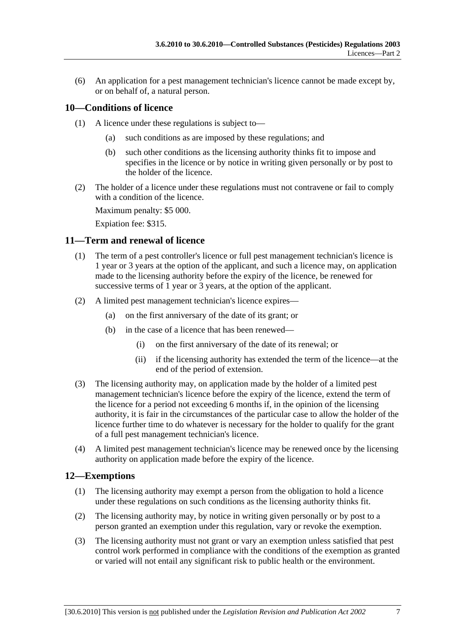(6) An application for a pest management technician's licence cannot be made except by, or on behalf of, a natural person.

### **10—Conditions of licence**

- (1) A licence under these regulations is subject to—
	- (a) such conditions as are imposed by these regulations; and
	- (b) such other conditions as the licensing authority thinks fit to impose and specifies in the licence or by notice in writing given personally or by post to the holder of the licence.
- (2) The holder of a licence under these regulations must not contravene or fail to comply with a condition of the licence.

Maximum penalty: \$5 000.

Expiation fee: \$315.

#### **11—Term and renewal of licence**

- (1) The term of a pest controller's licence or full pest management technician's licence is 1 year or 3 years at the option of the applicant, and such a licence may, on application made to the licensing authority before the expiry of the licence, be renewed for successive terms of 1 year or 3 years, at the option of the applicant.
- (2) A limited pest management technician's licence expires—
	- (a) on the first anniversary of the date of its grant; or
	- (b) in the case of a licence that has been renewed—
		- (i) on the first anniversary of the date of its renewal; or
		- (ii) if the licensing authority has extended the term of the licence—at the end of the period of extension.
- (3) The licensing authority may, on application made by the holder of a limited pest management technician's licence before the expiry of the licence, extend the term of the licence for a period not exceeding 6 months if, in the opinion of the licensing authority, it is fair in the circumstances of the particular case to allow the holder of the licence further time to do whatever is necessary for the holder to qualify for the grant of a full pest management technician's licence.
- (4) A limited pest management technician's licence may be renewed once by the licensing authority on application made before the expiry of the licence.

#### **12—Exemptions**

- (1) The licensing authority may exempt a person from the obligation to hold a licence under these regulations on such conditions as the licensing authority thinks fit.
- (2) The licensing authority may, by notice in writing given personally or by post to a person granted an exemption under this regulation, vary or revoke the exemption.
- (3) The licensing authority must not grant or vary an exemption unless satisfied that pest control work performed in compliance with the conditions of the exemption as granted or varied will not entail any significant risk to public health or the environment.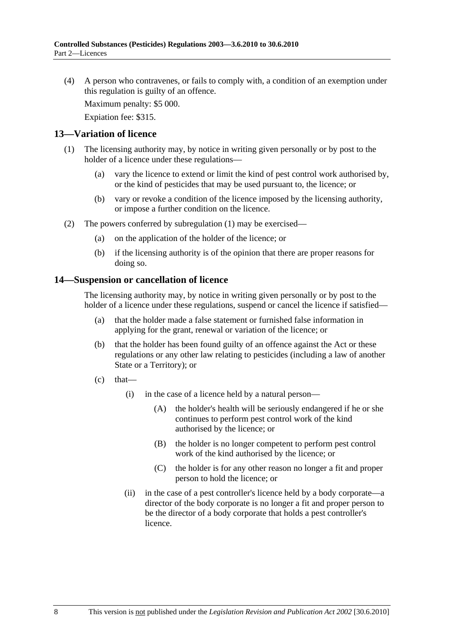(4) A person who contravenes, or fails to comply with, a condition of an exemption under this regulation is guilty of an offence.

Maximum penalty: \$5 000.

Expiation fee: \$315.

#### **13—Variation of licence**

- (1) The licensing authority may, by notice in writing given personally or by post to the holder of a licence under these regulations—
	- (a) vary the licence to extend or limit the kind of pest control work authorised by, or the kind of pesticides that may be used pursuant to, the licence; or
	- (b) vary or revoke a condition of the licence imposed by the licensing authority, or impose a further condition on the licence.
- (2) The powers conferred by subregulation (1) may be exercised—
	- (a) on the application of the holder of the licence; or
	- (b) if the licensing authority is of the opinion that there are proper reasons for doing so.

#### **14—Suspension or cancellation of licence**

The licensing authority may, by notice in writing given personally or by post to the holder of a licence under these regulations, suspend or cancel the licence if satisfied—

- (a) that the holder made a false statement or furnished false information in applying for the grant, renewal or variation of the licence; or
- (b) that the holder has been found guilty of an offence against the Act or these regulations or any other law relating to pesticides (including a law of another State or a Territory); or
- $(c)$  that—
	- (i) in the case of a licence held by a natural person—
		- (A) the holder's health will be seriously endangered if he or she continues to perform pest control work of the kind authorised by the licence; or
		- (B) the holder is no longer competent to perform pest control work of the kind authorised by the licence; or
		- (C) the holder is for any other reason no longer a fit and proper person to hold the licence; or
	- (ii) in the case of a pest controller's licence held by a body corporate—a director of the body corporate is no longer a fit and proper person to be the director of a body corporate that holds a pest controller's licence.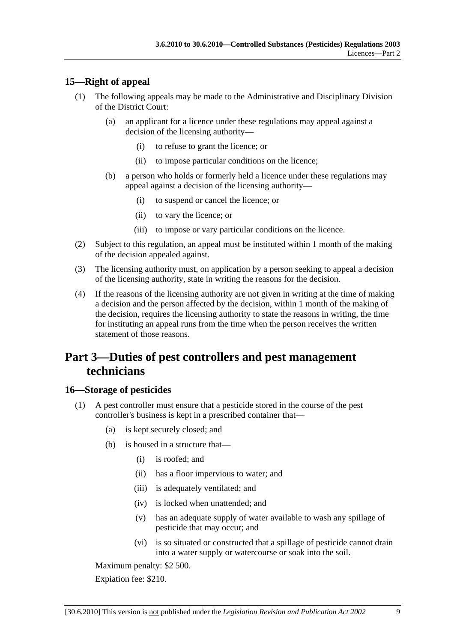### **15—Right of appeal**

- (1) The following appeals may be made to the Administrative and Disciplinary Division of the District Court:
	- (a) an applicant for a licence under these regulations may appeal against a decision of the licensing authority—
		- (i) to refuse to grant the licence; or
		- (ii) to impose particular conditions on the licence;
	- (b) a person who holds or formerly held a licence under these regulations may appeal against a decision of the licensing authority—
		- (i) to suspend or cancel the licence; or
		- (ii) to vary the licence; or
		- (iii) to impose or vary particular conditions on the licence.
- (2) Subject to this regulation, an appeal must be instituted within 1 month of the making of the decision appealed against.
- (3) The licensing authority must, on application by a person seeking to appeal a decision of the licensing authority, state in writing the reasons for the decision.
- (4) If the reasons of the licensing authority are not given in writing at the time of making a decision and the person affected by the decision, within 1 month of the making of the decision, requires the licensing authority to state the reasons in writing, the time for instituting an appeal runs from the time when the person receives the written statement of those reasons.

## **Part 3—Duties of pest controllers and pest management technicians**

#### **16—Storage of pesticides**

- (1) A pest controller must ensure that a pesticide stored in the course of the pest controller's business is kept in a prescribed container that—
	- (a) is kept securely closed; and
	- (b) is housed in a structure that—
		- (i) is roofed; and
		- (ii) has a floor impervious to water; and
		- (iii) is adequately ventilated; and
		- (iv) is locked when unattended; and
		- (v) has an adequate supply of water available to wash any spillage of pesticide that may occur; and
		- (vi) is so situated or constructed that a spillage of pesticide cannot drain into a water supply or watercourse or soak into the soil.

Maximum penalty: \$2 500.

Expiation fee: \$210.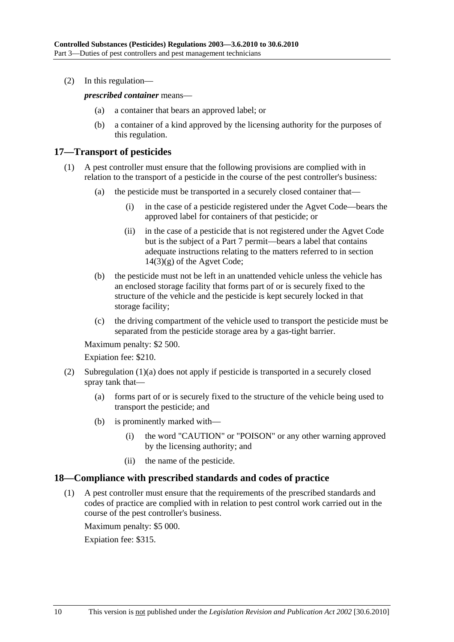(2) In this regulation—

*prescribed container* means—

- (a) a container that bears an approved label; or
- (b) a container of a kind approved by the licensing authority for the purposes of this regulation.

#### **17—Transport of pesticides**

- (1) A pest controller must ensure that the following provisions are complied with in relation to the transport of a pesticide in the course of the pest controller's business:
	- (a) the pesticide must be transported in a securely closed container that—
		- (i) in the case of a pesticide registered under the Agvet Code—bears the approved label for containers of that pesticide; or
		- (ii) in the case of a pesticide that is not registered under the Agvet Code but is the subject of a Part 7 permit—bears a label that contains adequate instructions relating to the matters referred to in section  $14(3)(g)$  of the Agvet Code;
	- (b) the pesticide must not be left in an unattended vehicle unless the vehicle has an enclosed storage facility that forms part of or is securely fixed to the structure of the vehicle and the pesticide is kept securely locked in that storage facility;
	- (c) the driving compartment of the vehicle used to transport the pesticide must be separated from the pesticide storage area by a gas-tight barrier.

Maximum penalty: \$2 500.

Expiation fee: \$210.

- (2) Subregulation (1)(a) does not apply if pesticide is transported in a securely closed spray tank that—
	- (a) forms part of or is securely fixed to the structure of the vehicle being used to transport the pesticide; and
	- (b) is prominently marked with—
		- (i) the word "CAUTION" or "POISON" or any other warning approved by the licensing authority; and
		- (ii) the name of the pesticide.

#### **18—Compliance with prescribed standards and codes of practice**

 (1) A pest controller must ensure that the requirements of the prescribed standards and codes of practice are complied with in relation to pest control work carried out in the course of the pest controller's business.

Maximum penalty: \$5 000.

Expiation fee: \$315.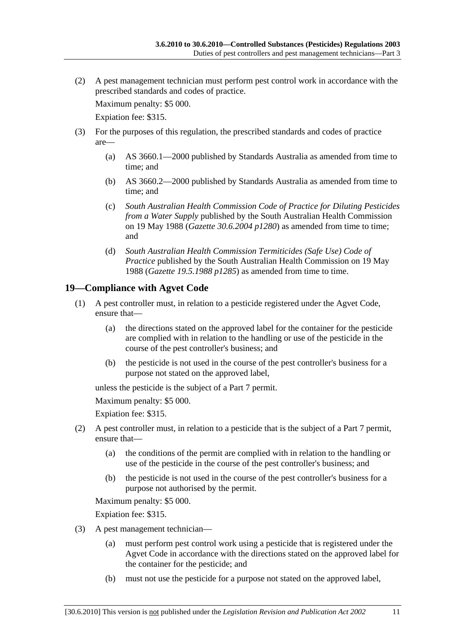(2) A pest management technician must perform pest control work in accordance with the prescribed standards and codes of practice.

Maximum penalty: \$5 000.

Expiation fee: \$315.

- (3) For the purposes of this regulation, the prescribed standards and codes of practice are—
	- (a) AS 3660.1—2000 published by Standards Australia as amended from time to time; and
	- (b) AS 3660.2—2000 published by Standards Australia as amended from time to time; and
	- (c) *South Australian Health Commission Code of Practice for Diluting Pesticides from a Water Supply* published by the South Australian Health Commission on 19 May 1988 (*Gazette 30.6.2004 p1280*) as amended from time to time; and
	- (d) *South Australian Health Commission Termiticides (Safe Use) Code of Practice* published by the South Australian Health Commission on 19 May 1988 (*Gazette 19.5.1988 p1285*) as amended from time to time.

### **19—Compliance with Agvet Code**

- (1) A pest controller must, in relation to a pesticide registered under the Agvet Code, ensure that—
	- (a) the directions stated on the approved label for the container for the pesticide are complied with in relation to the handling or use of the pesticide in the course of the pest controller's business; and
	- (b) the pesticide is not used in the course of the pest controller's business for a purpose not stated on the approved label,

unless the pesticide is the subject of a Part 7 permit.

Maximum penalty: \$5 000.

Expiation fee: \$315.

- (2) A pest controller must, in relation to a pesticide that is the subject of a Part 7 permit, ensure that—
	- (a) the conditions of the permit are complied with in relation to the handling or use of the pesticide in the course of the pest controller's business; and
	- (b) the pesticide is not used in the course of the pest controller's business for a purpose not authorised by the permit.

Maximum penalty: \$5 000.

Expiation fee: \$315.

- (3) A pest management technician—
	- (a) must perform pest control work using a pesticide that is registered under the Agvet Code in accordance with the directions stated on the approved label for the container for the pesticide; and
	- (b) must not use the pesticide for a purpose not stated on the approved label,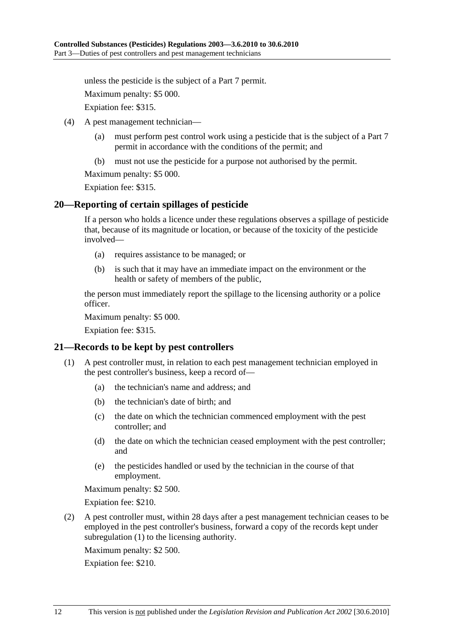unless the pesticide is the subject of a Part 7 permit.

Maximum penalty: \$5 000.

Expiation fee: \$315.

- (4) A pest management technician—
	- (a) must perform pest control work using a pesticide that is the subject of a Part 7 permit in accordance with the conditions of the permit; and
	- (b) must not use the pesticide for a purpose not authorised by the permit.

Maximum penalty: \$5 000.

Expiation fee: \$315.

#### **20—Reporting of certain spillages of pesticide**

If a person who holds a licence under these regulations observes a spillage of pesticide that, because of its magnitude or location, or because of the toxicity of the pesticide involved—

- (a) requires assistance to be managed; or
- (b) is such that it may have an immediate impact on the environment or the health or safety of members of the public,

the person must immediately report the spillage to the licensing authority or a police officer.

Maximum penalty: \$5 000.

Expiation fee: \$315.

#### **21—Records to be kept by pest controllers**

- (1) A pest controller must, in relation to each pest management technician employed in the pest controller's business, keep a record of—
	- (a) the technician's name and address; and
	- (b) the technician's date of birth; and
	- (c) the date on which the technician commenced employment with the pest controller; and
	- (d) the date on which the technician ceased employment with the pest controller; and
	- (e) the pesticides handled or used by the technician in the course of that employment.

Maximum penalty: \$2 500.

Expiation fee: \$210.

 (2) A pest controller must, within 28 days after a pest management technician ceases to be employed in the pest controller's business, forward a copy of the records kept under subregulation (1) to the licensing authority.

Maximum penalty: \$2 500.

Expiation fee: \$210.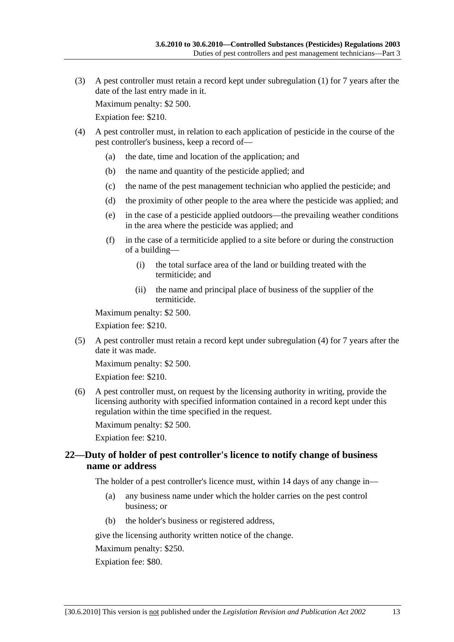(3) A pest controller must retain a record kept under subregulation (1) for 7 years after the date of the last entry made in it.

Maximum penalty: \$2 500.

Expiation fee: \$210.

- (4) A pest controller must, in relation to each application of pesticide in the course of the pest controller's business, keep a record of—
	- (a) the date, time and location of the application; and
	- (b) the name and quantity of the pesticide applied; and
	- (c) the name of the pest management technician who applied the pesticide; and
	- (d) the proximity of other people to the area where the pesticide was applied; and
	- (e) in the case of a pesticide applied outdoors—the prevailing weather conditions in the area where the pesticide was applied; and
	- (f) in the case of a termiticide applied to a site before or during the construction of a building—
		- (i) the total surface area of the land or building treated with the termiticide; and
		- (ii) the name and principal place of business of the supplier of the termiticide.

Maximum penalty: \$2 500.

Expiation fee: \$210.

 (5) A pest controller must retain a record kept under subregulation (4) for 7 years after the date it was made.

Maximum penalty: \$2 500.

Expiation fee: \$210.

 (6) A pest controller must, on request by the licensing authority in writing, provide the licensing authority with specified information contained in a record kept under this regulation within the time specified in the request.

Maximum penalty: \$2 500.

Expiation fee: \$210.

#### **22—Duty of holder of pest controller's licence to notify change of business name or address**

The holder of a pest controller's licence must, within 14 days of any change in—

- (a) any business name under which the holder carries on the pest control business; or
- (b) the holder's business or registered address,

give the licensing authority written notice of the change.

Maximum penalty: \$250.

Expiation fee: \$80.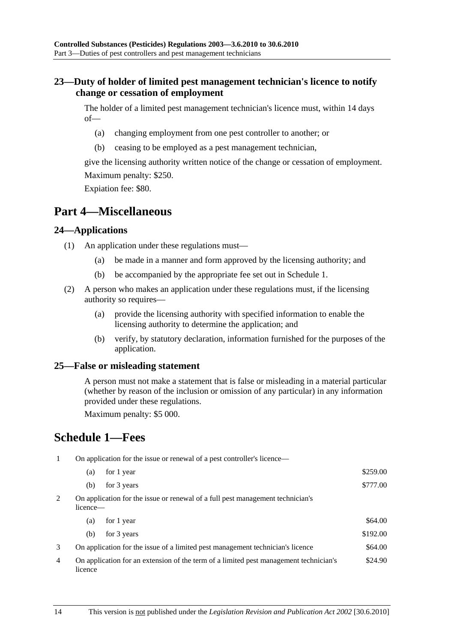### **23—Duty of holder of limited pest management technician's licence to notify change or cessation of employment**

The holder of a limited pest management technician's licence must, within 14 days of—

- (a) changing employment from one pest controller to another; or
- (b) ceasing to be employed as a pest management technician,

give the licensing authority written notice of the change or cessation of employment. Maximum penalty: \$250.

Expiation fee: \$80.

## **Part 4—Miscellaneous**

#### **24—Applications**

- (1) An application under these regulations must—
	- (a) be made in a manner and form approved by the licensing authority; and
	- (b) be accompanied by the appropriate fee set out in Schedule 1.
- (2) A person who makes an application under these regulations must, if the licensing authority so requires—
	- (a) provide the licensing authority with specified information to enable the licensing authority to determine the application; and
	- (b) verify, by statutory declaration, information furnished for the purposes of the application.

#### **25—False or misleading statement**

A person must not make a statement that is false or misleading in a material particular (whether by reason of the inclusion or omission of any particular) in any information provided under these regulations.

Maximum penalty: \$5 000.

## **Schedule 1—Fees**

1 On application for the issue or renewal of a pest controller's licence—

| $\sim$ $\sim$ | $\sim$ | .<br>$\cdots$<br>.        |          |
|---------------|--------|---------------------------|----------|
|               |        | (b) for $3 \text{ years}$ | \$777.00 |
|               |        | (a) for 1 year            | \$259.00 |

2 On application for the issue or renewal of a full pest management technician's licence—

| for 1 year<br>(a)                                                                                | \$64.00  |
|--------------------------------------------------------------------------------------------------|----------|
| for 3 years<br>(b)                                                                               | \$192.00 |
| On application for the issue of a limited pest management technician's licence                   | \$64.00  |
| On application for an extension of the term of a limited pest management technician's<br>licence | \$24.90  |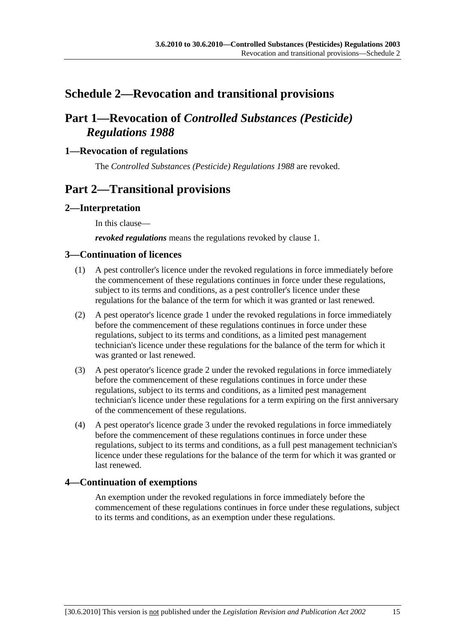## **Schedule 2—Revocation and transitional provisions**

## **Part 1—Revocation of** *Controlled Substances (Pesticide) Regulations 1988*

### **1—Revocation of regulations**

The *Controlled Substances (Pesticide) Regulations 1988* are revoked.

## **Part 2—Transitional provisions**

#### **2—Interpretation**

In this clause—

*revoked regulations* means the regulations revoked by clause 1.

#### **3—Continuation of licences**

- (1) A pest controller's licence under the revoked regulations in force immediately before the commencement of these regulations continues in force under these regulations, subject to its terms and conditions, as a pest controller's licence under these regulations for the balance of the term for which it was granted or last renewed.
- (2) A pest operator's licence grade 1 under the revoked regulations in force immediately before the commencement of these regulations continues in force under these regulations, subject to its terms and conditions, as a limited pest management technician's licence under these regulations for the balance of the term for which it was granted or last renewed.
- (3) A pest operator's licence grade 2 under the revoked regulations in force immediately before the commencement of these regulations continues in force under these regulations, subject to its terms and conditions, as a limited pest management technician's licence under these regulations for a term expiring on the first anniversary of the commencement of these regulations.
- (4) A pest operator's licence grade 3 under the revoked regulations in force immediately before the commencement of these regulations continues in force under these regulations, subject to its terms and conditions, as a full pest management technician's licence under these regulations for the balance of the term for which it was granted or last renewed.

#### **4—Continuation of exemptions**

An exemption under the revoked regulations in force immediately before the commencement of these regulations continues in force under these regulations, subject to its terms and conditions, as an exemption under these regulations.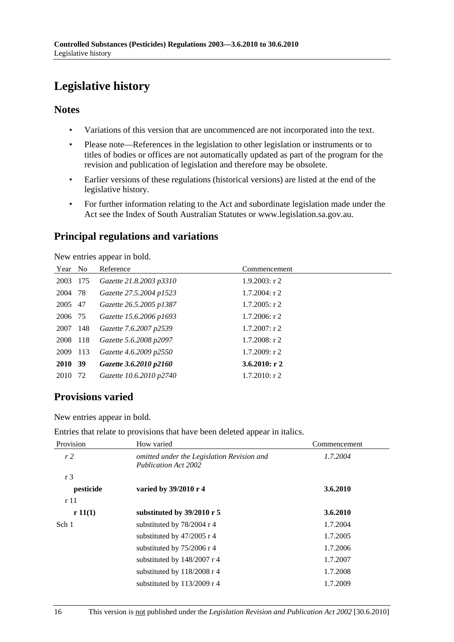# **Legislative history**

### **Notes**

- Variations of this version that are uncommenced are not incorporated into the text.
- Please note—References in the legislation to other legislation or instruments or to titles of bodies or offices are not automatically updated as part of the program for the revision and publication of legislation and therefore may be obsolete.
- Earlier versions of these regulations (historical versions) are listed at the end of the legislative history.
- For further information relating to the Act and subordinate legislation made under the Act see the Index of South Australian Statutes or www.legislation.sa.gov.au.

## **Principal regulations and variations**

New entries appear in bold.

| Year No |     | Reference               | Commencement     |
|---------|-----|-------------------------|------------------|
| 2003    | 175 | Gazette 21.8.2003 p3310 | $1.9.2003$ : r 2 |
| 2004 78 |     | Gazette 27.5.2004 p1523 | $1.7.2004$ : r 2 |
| 2005 47 |     | Gazette 26.5.2005 p1387 | $1.7.2005$ : r 2 |
| 2006 75 |     | Gazette 15.6.2006 p1693 | $1.7.2006$ : r 2 |
| 2007    | 148 | Gazette 7.6.2007 p2539  | $1.7.2007$ : r 2 |
| 2008    | 118 | Gazette 5.6.2008 p2097  | $1.7.2008$ : r 2 |
| 2009    | 113 | Gazette 4.6.2009 p2550  | $1.7.2009$ : r 2 |
| 2010 39 |     | Gazette 3.6.2010 p2160  | 3.6.2010: r2     |
| 2010    | 72  | Gazette 10.6.2010 p2740 | $1.7.2010$ : r 2 |
|         |     |                         |                  |

## **Provisions varied**

New entries appear in bold.

Entries that relate to provisions that have been deleted appear in italics.

| Provision      | How varied                                                                | Commencement |
|----------------|---------------------------------------------------------------------------|--------------|
| r2             | omitted under the Legislation Revision and<br><b>Publication Act 2002</b> | 1.7.2004     |
| r <sub>3</sub> |                                                                           |              |
| pesticide      | varied by 39/2010 r 4                                                     | 3.6.2010     |
| r 11           |                                                                           |              |
| r 11(1)        | substituted by $39/2010$ r 5                                              | 3.6.2010     |
| Sch 1          | substituted by $78/2004$ r 4                                              | 1.7.2004     |
|                | substituted by $47/2005$ r 4                                              | 1.7.2005     |
|                | substituted by $75/2006$ r 4                                              | 1.7.2006     |
|                | substituted by $148/2007$ r 4                                             | 1.7.2007     |
|                | substituted by $118/2008$ r 4                                             | 1.7.2008     |
|                | substituted by $113/2009$ r 4                                             | 1.7.2009     |
|                |                                                                           |              |